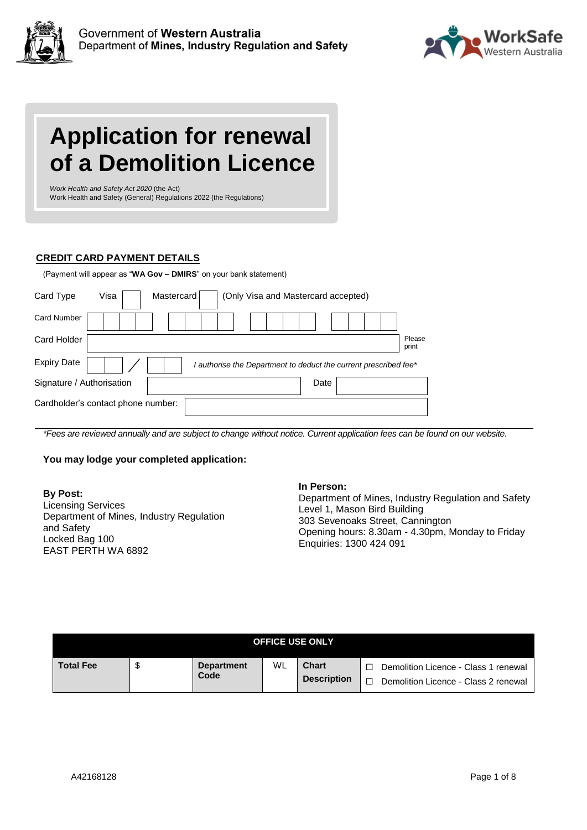



| <b>Application for renewal</b> |                         |
|--------------------------------|-------------------------|
|                                | of a Demolition Licence |

*Work Health and Safety Act 2020* (the Act) Work Health and Safety (General) Regulations 2022 (the Regulations)

#### **CREDIT CARD PAYMENT DETAILS**

(Payment will appear as "**WA Gov – DMIRS**" on your bank statement)

| Card Type                 | Visa                               | Mastercard |  |  |      | (Only Visa and Mastercard accepted) |                                                                  |                 |
|---------------------------|------------------------------------|------------|--|--|------|-------------------------------------|------------------------------------------------------------------|-----------------|
| <b>Card Number</b>        |                                    |            |  |  |      |                                     |                                                                  |                 |
| Card Holder               |                                    |            |  |  |      |                                     |                                                                  | Please<br>print |
| <b>Expiry Date</b>        |                                    |            |  |  |      |                                     | I authorise the Department to deduct the current prescribed fee* |                 |
| Signature / Authorisation |                                    |            |  |  | Date |                                     |                                                                  |                 |
|                           | Cardholder's contact phone number: |            |  |  |      |                                     |                                                                  |                 |

*\*Fees are reviewed annually and are subject to change without notice. Current application fees can be found on our website.*

#### **You may lodge your completed application:**

**By Post:**  Licensing Services Department of Mines, Industry Regulation and Safety Locked Bag 100 EAST PERTH WA 6892

#### **In Person:**

Department of Mines, Industry Regulation and Safety Level 1, Mason Bird Building 303 Sevenoaks Street, Cannington Opening hours: 8.30am - 4.30pm, Monday to Friday Enquiries: 1300 424 091

| <b>OFFICE USE ONLY</b> |  |                           |    |                                    |                                                                              |  |  |  |
|------------------------|--|---------------------------|----|------------------------------------|------------------------------------------------------------------------------|--|--|--|
| <b>Total Fee</b>       |  | <b>Department</b><br>Code | WL | <b>Chart</b><br><b>Description</b> | Demolition Licence - Class 1 renewal<br>Demolition Licence - Class 2 renewal |  |  |  |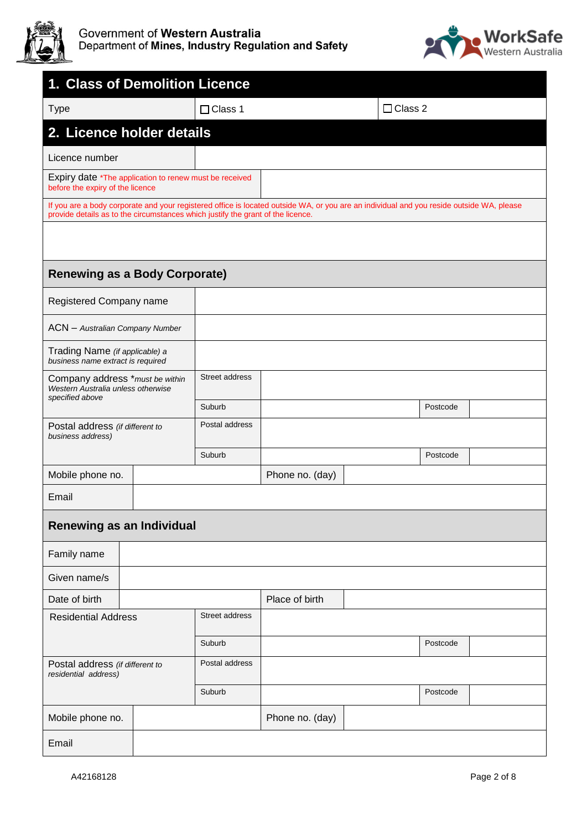



| 1. Class of Demolition Licence                                                                                                                                                                                              |                         |                |                 |                |          |  |  |  |  |  |
|-----------------------------------------------------------------------------------------------------------------------------------------------------------------------------------------------------------------------------|-------------------------|----------------|-----------------|----------------|----------|--|--|--|--|--|
| <b>Type</b>                                                                                                                                                                                                                 |                         | $\Box$ Class 1 |                 | $\Box$ Class 2 |          |  |  |  |  |  |
| 2. Licence holder details                                                                                                                                                                                                   |                         |                |                 |                |          |  |  |  |  |  |
| Licence number                                                                                                                                                                                                              |                         |                |                 |                |          |  |  |  |  |  |
| Expiry date *The application to renew must be received<br>before the expiry of the licence                                                                                                                                  |                         |                |                 |                |          |  |  |  |  |  |
| If you are a body corporate and your registered office is located outside WA, or you are an individual and you reside outside WA, please<br>provide details as to the circumstances which justify the grant of the licence. |                         |                |                 |                |          |  |  |  |  |  |
|                                                                                                                                                                                                                             |                         |                |                 |                |          |  |  |  |  |  |
| <b>Renewing as a Body Corporate)</b>                                                                                                                                                                                        |                         |                |                 |                |          |  |  |  |  |  |
|                                                                                                                                                                                                                             | Registered Company name |                |                 |                |          |  |  |  |  |  |
| ACN - Australian Company Number                                                                                                                                                                                             |                         |                |                 |                |          |  |  |  |  |  |
| Trading Name (if applicable) a<br>business name extract is required                                                                                                                                                         |                         |                |                 |                |          |  |  |  |  |  |
| Company address *must be within<br>Western Australia unless otherwise                                                                                                                                                       |                         | Street address |                 |                |          |  |  |  |  |  |
| specified above                                                                                                                                                                                                             |                         | Suburb         |                 |                | Postcode |  |  |  |  |  |
| Postal address (if different to<br>business address)                                                                                                                                                                        |                         | Postal address |                 |                |          |  |  |  |  |  |
|                                                                                                                                                                                                                             |                         | Suburb         |                 |                | Postcode |  |  |  |  |  |
| Mobile phone no.                                                                                                                                                                                                            |                         |                | Phone no. (day) |                |          |  |  |  |  |  |
| Email                                                                                                                                                                                                                       |                         |                |                 |                |          |  |  |  |  |  |
| Renewing as an Individual                                                                                                                                                                                                   |                         |                |                 |                |          |  |  |  |  |  |
| Family name                                                                                                                                                                                                                 |                         |                |                 |                |          |  |  |  |  |  |
| Given name/s                                                                                                                                                                                                                |                         |                |                 |                |          |  |  |  |  |  |
| Date of birth                                                                                                                                                                                                               |                         |                | Place of birth  |                |          |  |  |  |  |  |
| <b>Residential Address</b>                                                                                                                                                                                                  |                         | Street address |                 |                |          |  |  |  |  |  |
|                                                                                                                                                                                                                             |                         | Suburb         |                 |                | Postcode |  |  |  |  |  |
| Postal address (if different to<br>residential address)                                                                                                                                                                     |                         | Postal address |                 |                |          |  |  |  |  |  |
|                                                                                                                                                                                                                             |                         | Suburb         |                 |                | Postcode |  |  |  |  |  |
| Mobile phone no.                                                                                                                                                                                                            |                         |                | Phone no. (day) |                |          |  |  |  |  |  |
| Email                                                                                                                                                                                                                       |                         |                |                 |                |          |  |  |  |  |  |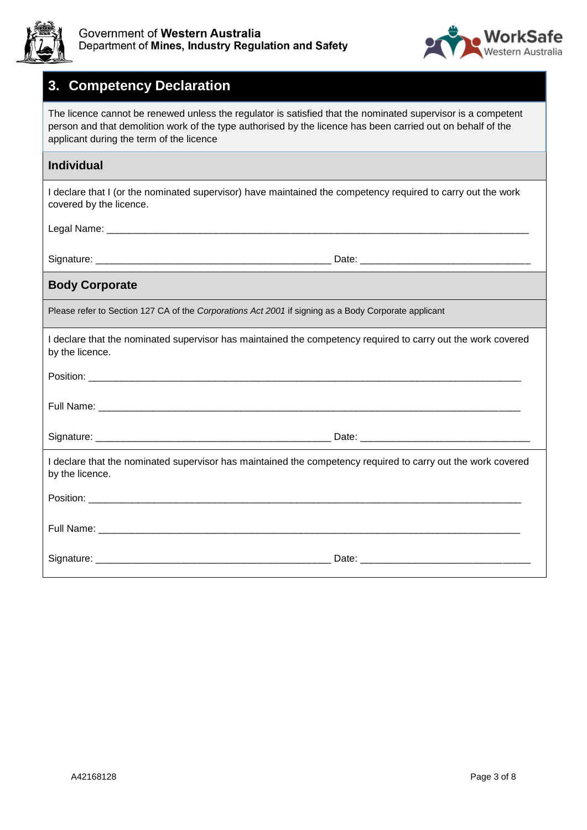



## **3. Competency Declaration**

The licence cannot be renewed unless the regulator is satisfied that the nominated supervisor is a competent person and that demolition work of the type authorised by the licence has been carried out on behalf of the applicant during the term of the licence

#### **Individual**

I declare that I (or the nominated supervisor) have maintained the competency required to carry out the work covered by the licence.

Legal Name: \_\_\_\_\_\_\_\_\_\_\_\_\_\_\_\_\_\_\_\_\_\_\_\_\_\_\_\_\_\_\_\_\_\_\_\_\_\_\_\_\_\_\_\_\_\_\_\_\_\_\_\_\_\_\_\_\_\_\_\_\_\_\_\_\_\_\_\_\_\_\_\_\_\_\_\_\_

Signature: \_\_\_\_\_\_\_\_\_\_\_\_\_\_\_\_\_\_\_\_\_\_\_\_\_\_\_\_\_\_\_\_\_\_\_\_\_\_\_\_\_\_\_ Date: \_\_\_\_\_\_\_\_\_\_\_\_\_\_\_\_\_\_\_\_\_\_\_\_\_\_\_\_\_\_\_

### **Body Corporate**

Please refer to Section 127 CA of the *Corporations Act 2001* if signing as a Body Corporate applicant

I declare that the nominated supervisor has maintained the competency required to carry out the work covered by the licence.

| I declare that the nominated supervisor has maintained the competency required to carry out the work covered<br>by the licence. |  |
|---------------------------------------------------------------------------------------------------------------------------------|--|
|                                                                                                                                 |  |
|                                                                                                                                 |  |
|                                                                                                                                 |  |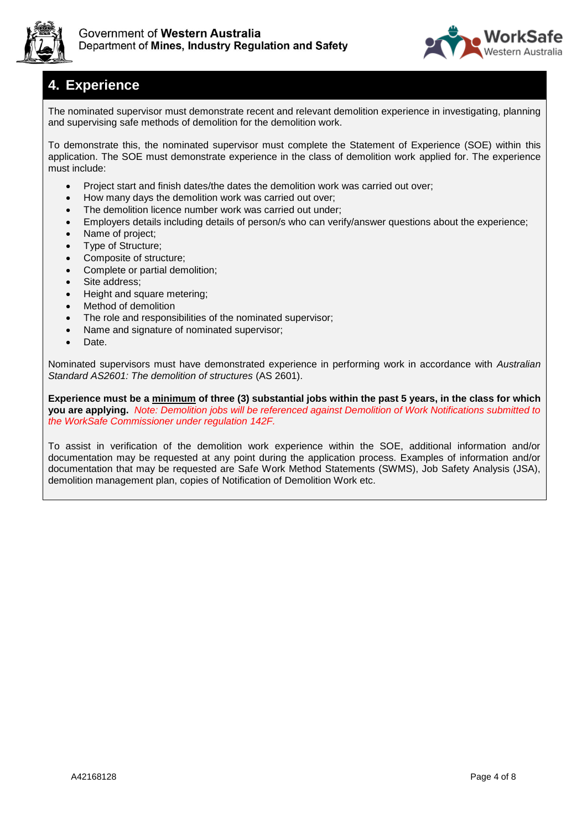



# **4. Experience**

The nominated supervisor must demonstrate recent and relevant demolition experience in investigating, planning and supervising safe methods of demolition for the demolition work.

To demonstrate this, the nominated supervisor must complete the Statement of Experience (SOE) within this application. The SOE must demonstrate experience in the class of demolition work applied for. The experience must include:

- Project start and finish dates/the dates the demolition work was carried out over;
- How many days the demolition work was carried out over;
- The demolition licence number work was carried out under;
- Employers details including details of person/s who can verify/answer questions about the experience;
- Name of project;
- Type of Structure;
- Composite of structure;
- Complete or partial demolition;
- Site address;
- Height and square metering:
- Method of demolition
- The role and responsibilities of the nominated supervisor;
- Name and signature of nominated supervisor;
- Date.

Nominated supervisors must have demonstrated experience in performing work in accordance with *Australian Standard AS2601: The demolition of structures* (AS 2601).

**Experience must be a minimum of three (3) substantial jobs within the past 5 years, in the class for which you are applying.** *Note: Demolition jobs will be referenced against Demolition of Work Notifications submitted to the WorkSafe Commissioner under regulation 142F.*

To assist in verification of the demolition work experience within the SOE, additional information and/or documentation may be requested at any point during the application process. Examples of information and/or documentation that may be requested are Safe Work Method Statements (SWMS), Job Safety Analysis (JSA), demolition management plan, copies of Notification of Demolition Work etc.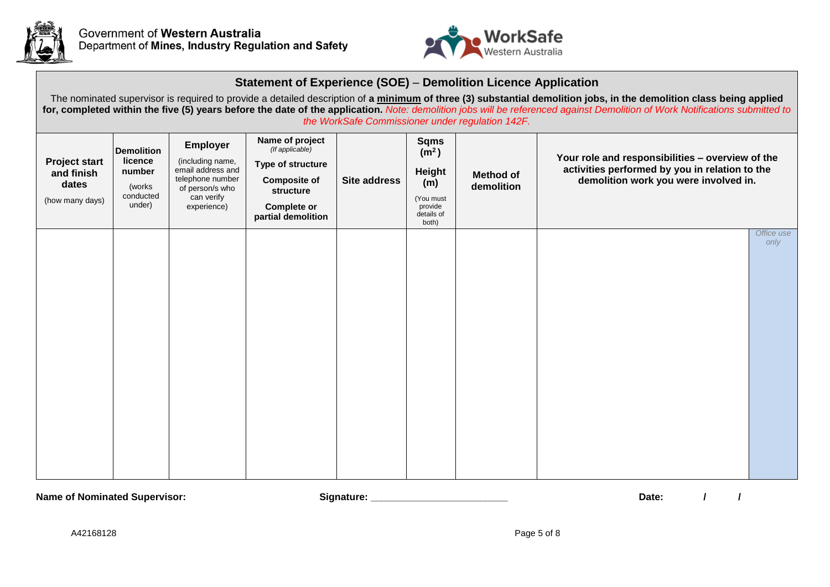



### **Statement of Experience (SOE)** – **Demolition Licence Application**

The nominated supervisor is required to provide a detailed description of **a minimum of three (3) substantial demolition jobs, in the demolition class being applied for, completed within the five (5) years before the date of the application.** *Note: demolition jobs will be referenced against Demolition of Work Notifications submitted to the WorkSafe Commissioner under regulation 142F.*

| <b>Project start</b><br>and finish<br>dates<br>(how many days) | <b>Demolition</b><br>licence<br>number<br>(works<br>conducted<br>under) | Employer<br>(including name,<br>email address and<br>telephone number<br>of person/s who<br>can verify<br>experience) | Name of project<br>(If applicable)<br>Type of structure<br><b>Composite of</b><br>structure<br><b>Complete or</b><br>partial demolition | Site address | <b>Sqms</b><br>(m <sup>2</sup> )<br>Height<br>(m)<br>(You must<br>provide<br>details of<br>both) | <b>Method of</b><br>demolition | Your role and responsibilities - overview of the<br>activities performed by you in relation to the<br>demolition work you were involved in. |                    |
|----------------------------------------------------------------|-------------------------------------------------------------------------|-----------------------------------------------------------------------------------------------------------------------|-----------------------------------------------------------------------------------------------------------------------------------------|--------------|--------------------------------------------------------------------------------------------------|--------------------------------|---------------------------------------------------------------------------------------------------------------------------------------------|--------------------|
|                                                                |                                                                         |                                                                                                                       |                                                                                                                                         |              |                                                                                                  |                                |                                                                                                                                             | Office use<br>only |

Name of Nominated Supervisor: <br> **Signature:** <u>Signature: **Signature**: **Signature**: **Signature**: **Signature**: **Signature**: **Signature**: **Signature**: **Signature**: **Signature**: **Signature**: **Signature**: **Signature</u>**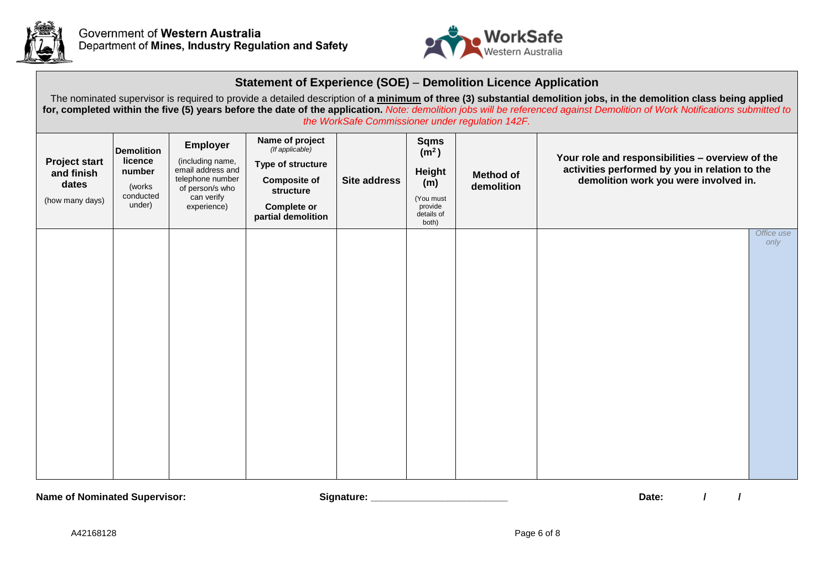



### **Statement of Experience (SOE)** – **Demolition Licence Application**

The nominated supervisor is required to provide a detailed description of **a minimum of three (3) substantial demolition jobs, in the demolition class being applied for, completed within the five (5) years before the date of the application.** *Note: demolition jobs will be referenced against Demolition of Work Notifications submitted to the WorkSafe Commissioner under regulation 142F.*

| <b>Project start</b><br>and finish<br>dates<br>(how many days) | <b>Demolition</b><br>licence<br>number<br>(works<br>conducted<br>under) | Employer<br>(including name,<br>email address and<br>telephone number<br>of person/s who<br>can verify<br>experience) | Name of project<br>(If applicable)<br>Type of structure<br><b>Composite of</b><br>structure<br><b>Complete or</b><br>partial demolition | Site address | <b>Sqms</b><br>(m <sup>2</sup> )<br>Height<br>(m)<br>(You must<br>provide<br>details of<br>both) | <b>Method of</b><br>demolition | Your role and responsibilities - overview of the<br>activities performed by you in relation to the<br>demolition work you were involved in. |                    |
|----------------------------------------------------------------|-------------------------------------------------------------------------|-----------------------------------------------------------------------------------------------------------------------|-----------------------------------------------------------------------------------------------------------------------------------------|--------------|--------------------------------------------------------------------------------------------------|--------------------------------|---------------------------------------------------------------------------------------------------------------------------------------------|--------------------|
|                                                                |                                                                         |                                                                                                                       |                                                                                                                                         |              |                                                                                                  |                                |                                                                                                                                             | Office use<br>only |

Name of Nominated Supervisor: <br> **Signature:** <u>Signature: **Signature**: **Signature**: **Signature**: **Signature**: **Signature**: **Signature**: **Signature**: **Signature**: **Signature**: **Signature**: **Signature**: **Signature</u>**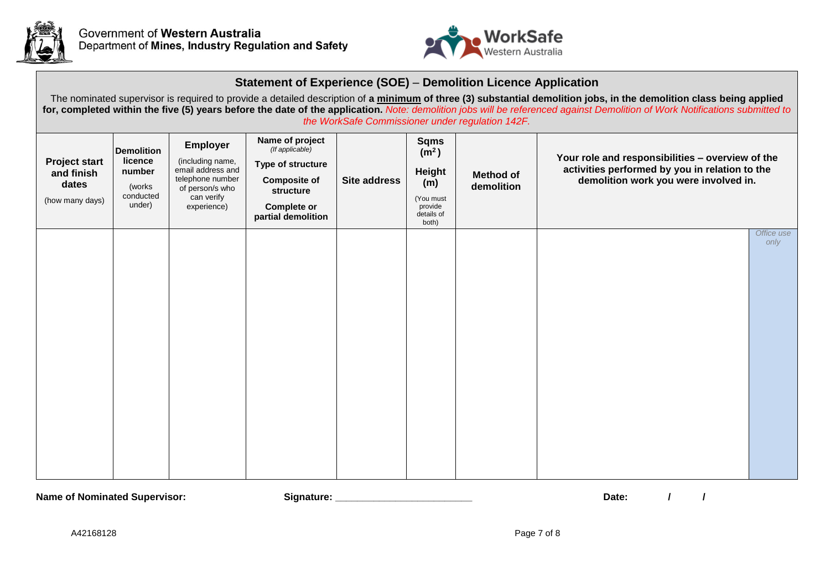



### **Statement of Experience (SOE)** – **Demolition Licence Application**

The nominated supervisor is required to provide a detailed description of **a minimum of three (3) substantial demolition jobs, in the demolition class being applied for, completed within the five (5) years before the date of the application.** *Note: demolition jobs will be referenced against Demolition of Work Notifications submitted to the WorkSafe Commissioner under regulation 142F.*

| <b>Project start</b><br>and finish<br>dates<br>(how many days) | <b>Demolition</b><br>licence<br>number<br>(works<br>conducted<br>under) | <b>Employer</b><br>(including name,<br>email address and<br>telephone number<br>of person/s who<br>can verify<br>experience) | Name of project<br>(If applicable)<br>Type of structure<br><b>Composite of</b><br>structure<br><b>Complete or</b><br>partial demolition | <b>Site address</b> | <b>Sqms</b><br>(m <sup>2</sup> )<br>Height<br>(m)<br>(You must<br>provide<br>details of<br>both) | <b>Method of</b><br>demolition | Your role and responsibilities - overview of the<br>activities performed by you in relation to the<br>demolition work you were involved in. |                    |
|----------------------------------------------------------------|-------------------------------------------------------------------------|------------------------------------------------------------------------------------------------------------------------------|-----------------------------------------------------------------------------------------------------------------------------------------|---------------------|--------------------------------------------------------------------------------------------------|--------------------------------|---------------------------------------------------------------------------------------------------------------------------------------------|--------------------|
|                                                                |                                                                         |                                                                                                                              |                                                                                                                                         |                     |                                                                                                  |                                |                                                                                                                                             | Office use<br>only |

Name of Nominated Supervisor: <br> **Signature: Signature: Signature: Signature: Signature: Signature: Signature: Signature: Signature: Signature: Signature: Signature: Signature: Signatu**